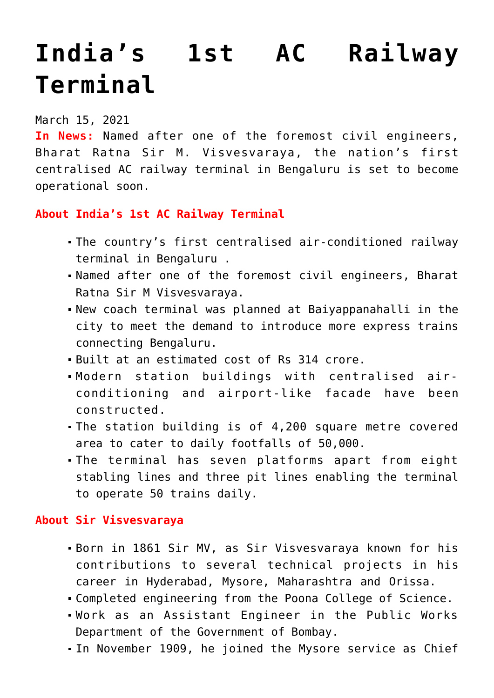# **[India's 1st AC Railway](https://journalsofindia.com/indias-1st-ac-railway-terminal/) [Terminal](https://journalsofindia.com/indias-1st-ac-railway-terminal/)**

# March 15, 2021

**In News:** Named after one of the foremost civil engineers, Bharat Ratna Sir M. Visvesvaraya, the nation's first centralised AC railway terminal in Bengaluru is set to become operational soon.

## **About India's 1st AC Railway Terminal**

- The country's first centralised air-conditioned railway terminal in Bengaluru .
- Named after one of the foremost civil engineers, Bharat Ratna Sir M Visvesvaraya.
- New coach terminal was planned at Baiyappanahalli in the city to meet the demand to introduce more express trains connecting Bengaluru.
- Built at an estimated cost of Rs 314 crore.
- Modern station buildings with centralised airconditioning and airport-like facade have been constructed.
- The station building is of 4,200 square metre covered area to cater to daily footfalls of 50,000.
- The terminal has seven platforms apart from eight stabling lines and three pit lines enabling the terminal to operate 50 trains daily.

### **About Sir Visvesvaraya**

- Born in 1861 Sir MV, as Sir Visvesvaraya known for his contributions to several technical projects in his career in Hyderabad, Mysore, Maharashtra and Orissa.
- Completed engineering from the Poona College of Science.
- Work as an Assistant Engineer in the Public Works Department of the Government of Bombay.
- In November 1909, he joined the Mysore service as Chief